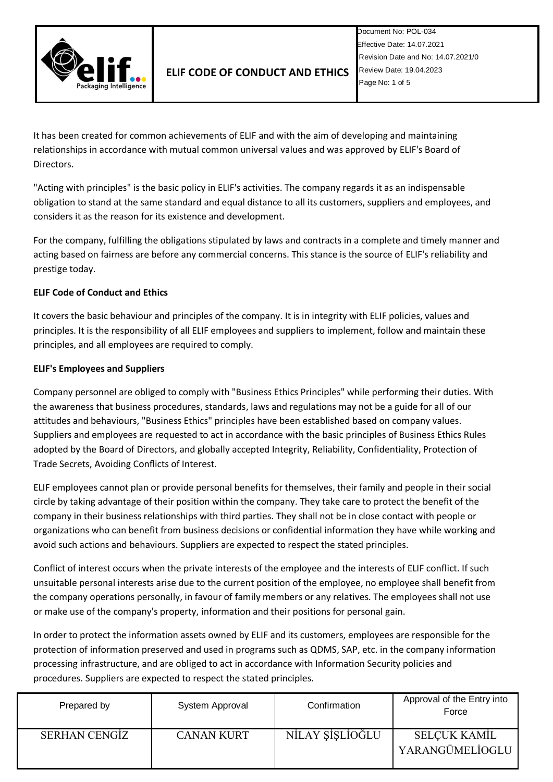

It has been created for common achievements of ELIF and with the aim of developing and maintaining relationships in accordance with mutual common universal values and was approved by ELIF's Board of Directors.

"Acting with principles" is the basic policy in ELIF's activities. The company regards it as an indispensable obligation to stand at the same standard and equal distance to all its customers, suppliers and employees, and considers it as the reason for its existence and development.

For the company, fulfilling the obligations stipulated by laws and contracts in a complete and timely manner and acting based on fairness are before any commercial concerns. This stance is the source of ELIF's reliability and prestige today.

## **ELIF Code of Conduct and Ethics**

It covers the basic behaviour and principles of the company. It is in integrity with ELIF policies, values and principles. It is the responsibility of all ELIF employees and suppliers to implement, follow and maintain these principles, and all employees are required to comply.

## **ELIF's Employees and Suppliers**

Company personnel are obliged to comply with "Business Ethics Principles" while performing their duties. With the awareness that business procedures, standards, laws and regulations may not be a guide for all of our attitudes and behaviours, "Business Ethics" principles have been established based on company values. Suppliers and employees are requested to act in accordance with the basic principles of Business Ethics Rules adopted by the Board of Directors, and globally accepted Integrity, Reliability, Confidentiality, Protection of Trade Secrets, Avoiding Conflicts of Interest.

ELIF employees cannot plan or provide personal benefits for themselves, their family and people in their social circle by taking advantage of their position within the company. They take care to protect the benefit of the company in their business relationships with third parties. They shall not be in close contact with people or organizations who can benefit from business decisions or confidential information they have while working and avoid such actions and behaviours. Suppliers are expected to respect the stated principles.

Conflict of interest occurs when the private interests of the employee and the interests of ELIF conflict. If such unsuitable personal interests arise due to the current position of the employee, no employee shall benefit from the company operations personally, in favour of family members or any relatives. The employees shall not use or make use of the company's property, information and their positions for personal gain.

In order to protect the information assets owned by ELIF and its customers, employees are responsible for the protection of information preserved and used in programs such as QDMS, SAP, etc. in the company information processing infrastructure, and are obliged to act in accordance with Information Security policies and procedures. Suppliers are expected to respect the stated principles.

| Prepared by          | System Approval   | Confirmation    | Approval of the Entry into<br>Force |
|----------------------|-------------------|-----------------|-------------------------------------|
| <b>SERHAN CENGIZ</b> | <b>CANAN KURT</b> | NILAY ŞİŞLİOĞLU | SELÇUK KAMİL<br>YARANGÜMELİOGLU     |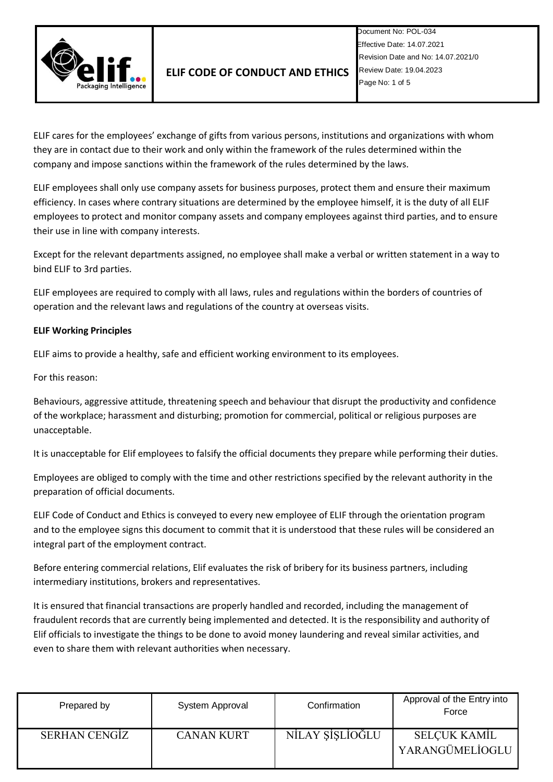

ELIF cares for the employees' exchange of gifts from various persons, institutions and organizations with whom they are in contact due to their work and only within the framework of the rules determined within the company and impose sanctions within the framework of the rules determined by the laws.

ELIF employees shall only use company assets for business purposes, protect them and ensure their maximum efficiency. In cases where contrary situations are determined by the employee himself, it is the duty of all ELIF employees to protect and monitor company assets and company employees against third parties, and to ensure their use in line with company interests.

Except for the relevant departments assigned, no employee shall make a verbal or written statement in a way to bind ELIF to 3rd parties.

ELIF employees are required to comply with all laws, rules and regulations within the borders of countries of operation and the relevant laws and regulations of the country at overseas visits.

## **ELIF Working Principles**

ELIF aims to provide a healthy, safe and efficient working environment to its employees.

For this reason:

Behaviours, aggressive attitude, threatening speech and behaviour that disrupt the productivity and confidence of the workplace; harassment and disturbing; promotion for commercial, political or religious purposes are unacceptable.

It is unacceptable for Elif employees to falsify the official documents they prepare while performing their duties.

Employees are obliged to comply with the time and other restrictions specified by the relevant authority in the preparation of official documents.

ELIF Code of Conduct and Ethics is conveyed to every new employee of ELIF through the orientation program and to the employee signs this document to commit that it is understood that these rules will be considered an integral part of the employment contract.

Before entering commercial relations, Elif evaluates the risk of bribery for its business partners, including intermediary institutions, brokers and representatives.

It is ensured that financial transactions are properly handled and recorded, including the management of fraudulent records that are currently being implemented and detected. It is the responsibility and authority of Elif officials to investigate the things to be done to avoid money laundering and reveal similar activities, and even to share them with relevant authorities when necessary.

| Prepared by   | System Approval   | Confirmation    | Approval of the Entry into<br>Force    |
|---------------|-------------------|-----------------|----------------------------------------|
| SERHAN CENGIZ | <b>CANAN KURT</b> | NİLAY ŞİŞLİOĞLU | <b>SELCUK KAMIL</b><br>YARANGÜMELİOGLU |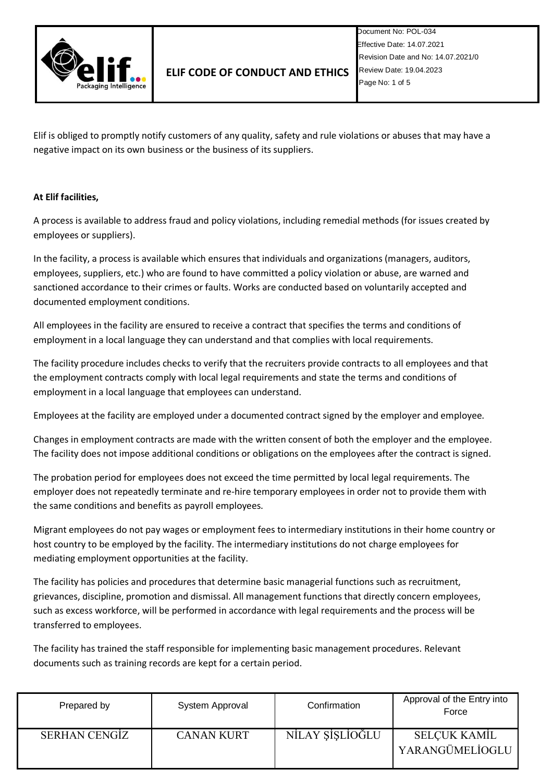

Elif is obliged to promptly notify customers of any quality, safety and rule violations or abuses that may have a negative impact on its own business or the business of its suppliers.

## **At Elif facilities,**

A process is available to address fraud and policy violations, including remedial methods (for issues created by employees or suppliers).

In the facility, a process is available which ensures that individuals and organizations (managers, auditors, employees, suppliers, etc.) who are found to have committed a policy violation or abuse, are warned and sanctioned accordance to their crimes or faults. Works are conducted based on voluntarily accepted and documented employment conditions.

All employees in the facility are ensured to receive a contract that specifies the terms and conditions of employment in a local language they can understand and that complies with local requirements.

The facility procedure includes checks to verify that the recruiters provide contracts to all employees and that the employment contracts comply with local legal requirements and state the terms and conditions of employment in a local language that employees can understand.

Employees at the facility are employed under a documented contract signed by the employer and employee.

Changes in employment contracts are made with the written consent of both the employer and the employee. The facility does not impose additional conditions or obligations on the employees after the contract is signed.

The probation period for employees does not exceed the time permitted by local legal requirements. The employer does not repeatedly terminate and re-hire temporary employees in order not to provide them with the same conditions and benefits as payroll employees.

Migrant employees do not pay wages or employment fees to intermediary institutions in their home country or host country to be employed by the facility. The intermediary institutions do not charge employees for mediating employment opportunities at the facility.

The facility has policies and procedures that determine basic managerial functions such as recruitment, grievances, discipline, promotion and dismissal. All management functions that directly concern employees, such as excess workforce, will be performed in accordance with legal requirements and the process will be transferred to employees.

The facility has trained the staff responsible for implementing basic management procedures. Relevant documents such as training records are kept for a certain period.

| Prepared by          | System Approval   | Confirmation    | Approval of the Entry into<br>Force    |
|----------------------|-------------------|-----------------|----------------------------------------|
| <b>SERHAN CENGIZ</b> | <b>CANAN KURT</b> | NİLAY ŞİŞLİOĞLU | <b>SELCUK KAMIL</b><br>YARANGÜMELİOGLU |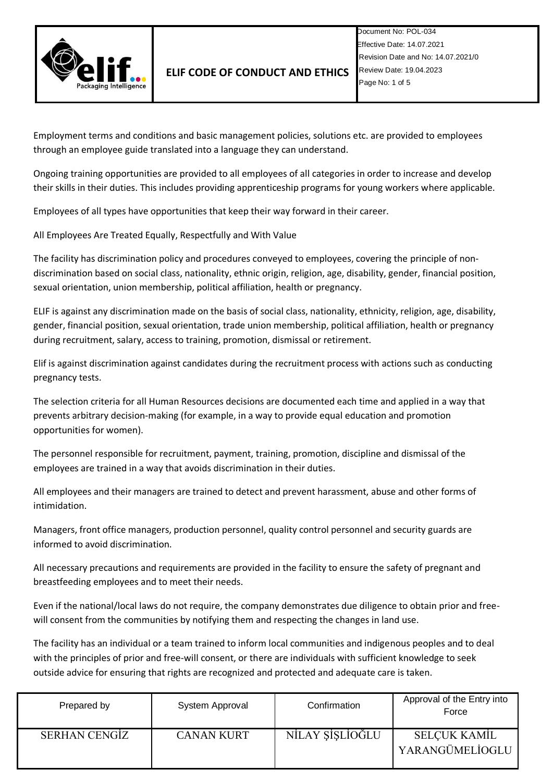

Employment terms and conditions and basic management policies, solutions etc. are provided to employees through an employee guide translated into a language they can understand.

Ongoing training opportunities are provided to all employees of all categories in order to increase and develop their skills in their duties. This includes providing apprenticeship programs for young workers where applicable.

Employees of all types have opportunities that keep their way forward in their career.

All Employees Are Treated Equally, Respectfully and With Value

The facility has discrimination policy and procedures conveyed to employees, covering the principle of nondiscrimination based on social class, nationality, ethnic origin, religion, age, disability, gender, financial position, sexual orientation, union membership, political affiliation, health or pregnancy.

ELIF is against any discrimination made on the basis of social class, nationality, ethnicity, religion, age, disability, gender, financial position, sexual orientation, trade union membership, political affiliation, health or pregnancy during recruitment, salary, access to training, promotion, dismissal or retirement.

Elif is against discrimination against candidates during the recruitment process with actions such as conducting pregnancy tests.

The selection criteria for all Human Resources decisions are documented each time and applied in a way that prevents arbitrary decision-making (for example, in a way to provide equal education and promotion opportunities for women).

The personnel responsible for recruitment, payment, training, promotion, discipline and dismissal of the employees are trained in a way that avoids discrimination in their duties.

All employees and their managers are trained to detect and prevent harassment, abuse and other forms of intimidation.

Managers, front office managers, production personnel, quality control personnel and security guards are informed to avoid discrimination.

All necessary precautions and requirements are provided in the facility to ensure the safety of pregnant and breastfeeding employees and to meet their needs.

Even if the national/local laws do not require, the company demonstrates due diligence to obtain prior and freewill consent from the communities by notifying them and respecting the changes in land use.

The facility has an individual or a team trained to inform local communities and indigenous peoples and to deal with the principles of prior and free-will consent, or there are individuals with sufficient knowledge to seek outside advice for ensuring that rights are recognized and protected and adequate care is taken.

| Prepared by          | System Approval   | Confirmation    | Approval of the Entry into<br>Force |
|----------------------|-------------------|-----------------|-------------------------------------|
| <b>SERHAN CENGIZ</b> | <b>CANAN KURT</b> | NILAY ŞİSLİOĞLU | SELÇUK KAMİL<br>YARANGÜMELİOGLU     |